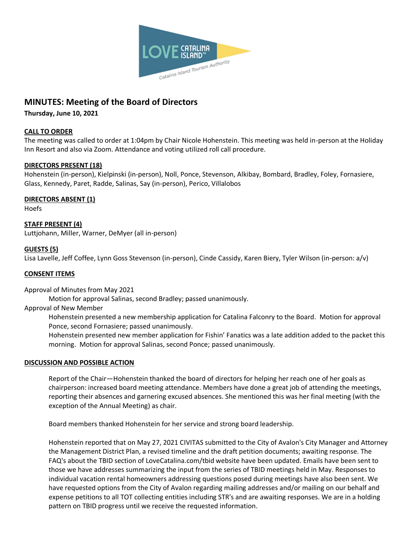

# **MINUTES: Meeting of the Board of Directors**

**Thursday, June 10, 2021**

### **CALL TO ORDER**

The meeting was called to order at 1:04pm by Chair Nicole Hohenstein. This meeting was held in-person at the Holiday Inn Resort and also via Zoom. Attendance and voting utilized roll call procedure.

## **DIRECTORS PRESENT (18)**

Hohenstein (in-person), Kielpinski (in-person), Noll, Ponce, Stevenson, Alkibay, Bombard, Bradley, Foley, Fornasiere, Glass, Kennedy, Paret, Radde, Salinas, Say (in-person), Perico, Villalobos

#### **DIRECTORS ABSENT (1)**

Hoefs

**STAFF PRESENT (4)** Luttjohann, Miller, Warner, DeMyer (all in-person)

## **GUESTS (5)**

Lisa Lavelle, Jeff Coffee, Lynn Goss Stevenson (in-person), Cinde Cassidy, Karen Biery, Tyler Wilson (in-person: a/v)

#### **CONSENT ITEMS**

Approval of Minutes from May 2021

Motion for approval Salinas, second Bradley; passed unanimously.

#### Approval of New Member

Hohenstein presented a new membership application for Catalina Falconry to the Board. Motion for approval Ponce, second Fornasiere; passed unanimously.

Hohenstein presented new member application for Fishin' Fanatics was a late addition added to the packet this morning. Motion for approval Salinas, second Ponce; passed unanimously.

#### **DISCUSSION AND POSSIBLE ACTION**

Report of the Chair—Hohenstein thanked the board of directors for helping her reach one of her goals as chairperson: increased board meeting attendance. Members have done a great job of attending the meetings, reporting their absences and garnering excused absences. She mentioned this was her final meeting (with the exception of the Annual Meeting) as chair.

Board members thanked Hohenstein for her service and strong board leadership.

Hohenstein reported that on May 27, 2021 CIVITAS submitted to the City of Avalon's City Manager and Attorney the Management District Plan, a revised timeline and the draft petition documents; awaiting response. The FAQ's about the TBID section of LoveCatalina.com/tbid website have been updated. Emails have been sent to those we have addresses summarizing the input from the series of TBID meetings held in May. Responses to individual vacation rental homeowners addressing questions posed during meetings have also been sent. We have requested options from the City of Avalon regarding mailing addresses and/or mailing on our behalf and expense petitions to all TOT collecting entities including STR's and are awaiting responses. We are in a holding pattern on TBID progress until we receive the requested information.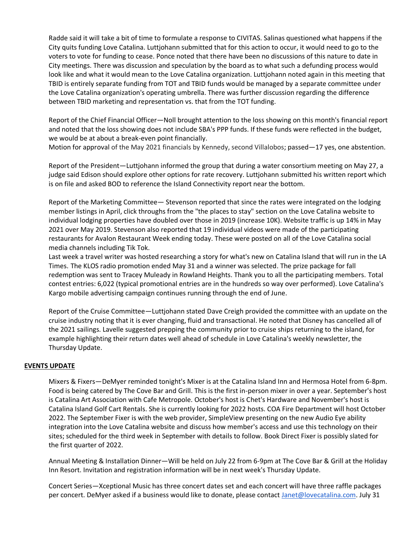Radde said it will take a bit of time to formulate a response to CIVITAS. Salinas questioned what happens if the City quits funding Love Catalina. Luttjohann submitted that for this action to occur, it would need to go to the voters to vote for funding to cease. Ponce noted that there have been no discussions of this nature to date in City meetings. There was discussion and speculation by the board as to what such a defunding process would look like and what it would mean to the Love Catalina organization. Luttjohann noted again in this meeting that TBID is entirely separate funding from TOT and TBID funds would be managed by a separate committee under the Love Catalina organization's operating umbrella. There was further discussion regarding the difference between TBID marketing and representation vs. that from the TOT funding.

Report of the Chief Financial Officer—Noll brought attention to the loss showing on this month's financial report and noted that the loss showing does not include SBA's PPP funds. If these funds were reflected in the budget, we would be at about a break-even point financially.

Motion for approval of the May 2021 financials by Kennedy, second Villalobos; passed—17 yes, one abstention.

Report of the President—Luttjohann informed the group that during a water consortium meeting on May 27, a judge said Edison should explore other options for rate recovery. Luttjohann submitted his written report which is on file and asked BOD to reference the Island Connectivity report near the bottom.

Report of the Marketing Committee— Stevenson reported that since the rates were integrated on the lodging member listings in April, click throughs from the "the places to stay" section on the Love Catalina website to individual lodging properties have doubled over those in 2019 (increase 10K). Website traffic is up 14% in May 2021 over May 2019. Stevenson also reported that 19 individual videos were made of the participating restaurants for Avalon Restaurant Week ending today. These were posted on all of the Love Catalina social media channels including Tik Tok.

Last week a travel writer was hosted researching a story for what's new on Catalina Island that will run in the LA Times. The KLOS radio promotion ended May 31 and a winner was selected. The prize package for fall redemption was sent to Tracey Muleady in Rowland Heights. Thank you to all the participating members. Total contest entries: 6,022 (typical promotional entries are in the hundreds so way over performed). Love Catalina's Kargo mobile advertising campaign continues running through the end of June.

Report of the Cruise Committee—Luttjohann stated Dave Creigh provided the committee with an update on the cruise industry noting that it is ever changing, fluid and transactional. He noted that Disney has cancelled all of the 2021 sailings. Lavelle suggested prepping the community prior to cruise ships returning to the island, for example highlighting their return dates well ahead of schedule in Love Catalina's weekly newsletter, the Thursday Update.

## **EVENTS UPDATE**

Mixers & Fixers—DeMyer reminded tonight's Mixer is at the Catalina Island Inn and Hermosa Hotel from 6-8pm. Food is being catered by The Cove Bar and Grill. This is the first in-person mixer in over a year. September's host is Catalina Art Association with Cafe Metropole. October's host is Chet's Hardware and November's host is Catalina Island Golf Cart Rentals. She is currently looking for 2022 hosts. COA Fire Department will host October 2022. The September Fixer is with the web provider, SimpleView presenting on the new Audio Eye ability integration into the Love Catalina website and discuss how member's access and use this technology on their sites; scheduled for the third week in September with details to follow. Book Direct Fixer is possibly slated for the first quarter of 2022.

Annual Meeting & Installation Dinner—Will be held on July 22 from 6-9pm at The Cove Bar & Grill at the Holiday Inn Resort. Invitation and registration information will be in next week's Thursday Update.

Concert Series—Xceptional Music has three concert dates set and each concert will have three raffle packages per concert. DeMyer asked if a business would like to donate, please contact [Janet@lovecatalina.com.](mailto:Janet@lovecatalina.com) July 31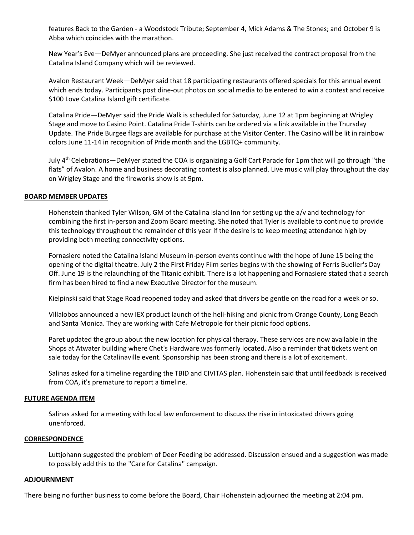features Back to the Garden - a Woodstock Tribute; September 4, Mick Adams & The Stones; and October 9 is Abba which coincides with the marathon.

New Year's Eve—DeMyer announced plans are proceeding. She just received the contract proposal from the Catalina Island Company which will be reviewed.

Avalon Restaurant Week—DeMyer said that 18 participating restaurants offered specials for this annual event which ends today. Participants post dine-out photos on social media to be entered to win a contest and receive \$100 Love Catalina Island gift certificate.

Catalina Pride—DeMyer said the Pride Walk is scheduled for Saturday, June 12 at 1pm beginning at Wrigley Stage and move to Casino Point. Catalina Pride T-shirts can be ordered via a link available in the Thursday Update. The Pride Burgee flags are available for purchase at the Visitor Center. The Casino will be lit in rainbow colors June 11-14 in recognition of Pride month and the LGBTQ+ community.

July  $4<sup>th</sup>$  Celebrations—DeMyer stated the COA is organizing a Golf Cart Parade for 1pm that will go through "the flats" of Avalon. A home and business decorating contest is also planned. Live music will play throughout the day on Wrigley Stage and the fireworks show is at 9pm.

#### **BOARD MEMBER UPDATES**

Hohenstein thanked Tyler Wilson, GM of the Catalina Island Inn for setting up the a/v and technology for combining the first in-person and Zoom Board meeting. She noted that Tyler is available to continue to provide this technology throughout the remainder of this year if the desire is to keep meeting attendance high by providing both meeting connectivity options.

Fornasiere noted the Catalina Island Museum in-person events continue with the hope of June 15 being the opening of the digital theatre. July 2 the First Friday Film series begins with the showing of Ferris Bueller's Day Off. June 19 is the relaunching of the Titanic exhibit. There is a lot happening and Fornasiere stated that a search firm has been hired to find a new Executive Director for the museum.

Kielpinski said that Stage Road reopened today and asked that drivers be gentle on the road for a week or so.

Villalobos announced a new IEX product launch of the heli-hiking and picnic from Orange County, Long Beach and Santa Monica. They are working with Cafe Metropole for their picnic food options.

Paret updated the group about the new location for physical therapy. These services are now available in the Shops at Atwater building where Chet's Hardware was formerly located. Also a reminder that tickets went on sale today for the Catalinaville event. Sponsorship has been strong and there is a lot of excitement.

Salinas asked for a timeline regarding the TBID and CIVITAS plan. Hohenstein said that until feedback is received from COA, it's premature to report a timeline.

#### **FUTURE AGENDA ITEM**

Salinas asked for a meeting with local law enforcement to discuss the rise in intoxicated drivers going unenforced.

#### **CORRESPONDENCE**

Luttjohann suggested the problem of Deer Feeding be addressed. Discussion ensued and a suggestion was made to possibly add this to the "Care for Catalina" campaign.

#### **ADJOURNMENT**

There being no further business to come before the Board, Chair Hohenstein adjourned the meeting at 2:04 pm.